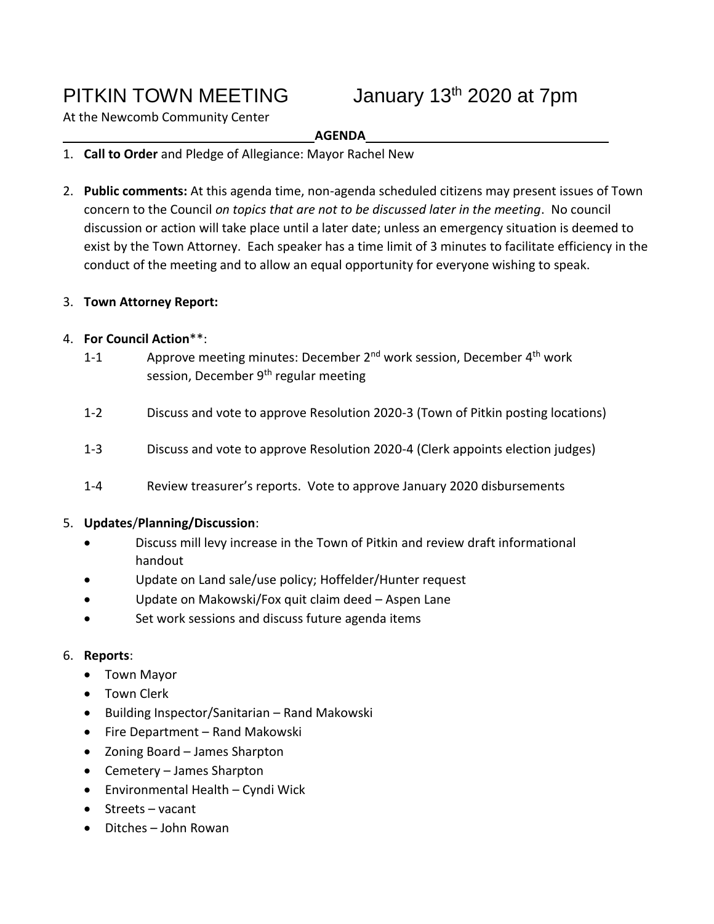PITKIN TOWN MEETING January 13<sup>th</sup> 2020 at 7pm

At the Newcomb Community Center

### **AGENDA**

- 1. **Call to Order** and Pledge of Allegiance: Mayor Rachel New
- 2. **Public comments:** At this agenda time, non-agenda scheduled citizens may present issues of Town concern to the Council *on topics that are not to be discussed later in the meeting*. No council discussion or action will take place until a later date; unless an emergency situation is deemed to exist by the Town Attorney. Each speaker has a time limit of 3 minutes to facilitate efficiency in the conduct of the meeting and to allow an equal opportunity for everyone wishing to speak.

# 3. **Town Attorney Report:**

# 4. **For Council Action**\*\*:

- 1-1 Approve meeting minutes: December 2<sup>nd</sup> work session, December 4<sup>th</sup> work session, December 9<sup>th</sup> regular meeting
- 1-2 Discuss and vote to approve Resolution 2020-3 (Town of Pitkin posting locations)
- 1-3 Discuss and vote to approve Resolution 2020-4 (Clerk appoints election judges)
- 1-4 Review treasurer's reports. Vote to approve January 2020 disbursements

#### 5. **Updates**/**Planning/Discussion**:

- Discuss mill levy increase in the Town of Pitkin and review draft informational handout
- Update on Land sale/use policy; Hoffelder/Hunter request
- Update on Makowski/Fox quit claim deed Aspen Lane
- Set work sessions and discuss future agenda items

# 6. **Reports**:

- Town Mayor
- Town Clerk
- Building Inspector/Sanitarian Rand Makowski
- Fire Department Rand Makowski
- Zoning Board James Sharpton
- Cemetery James Sharpton
- Environmental Health Cyndi Wick
- Streets vacant
- Ditches John Rowan